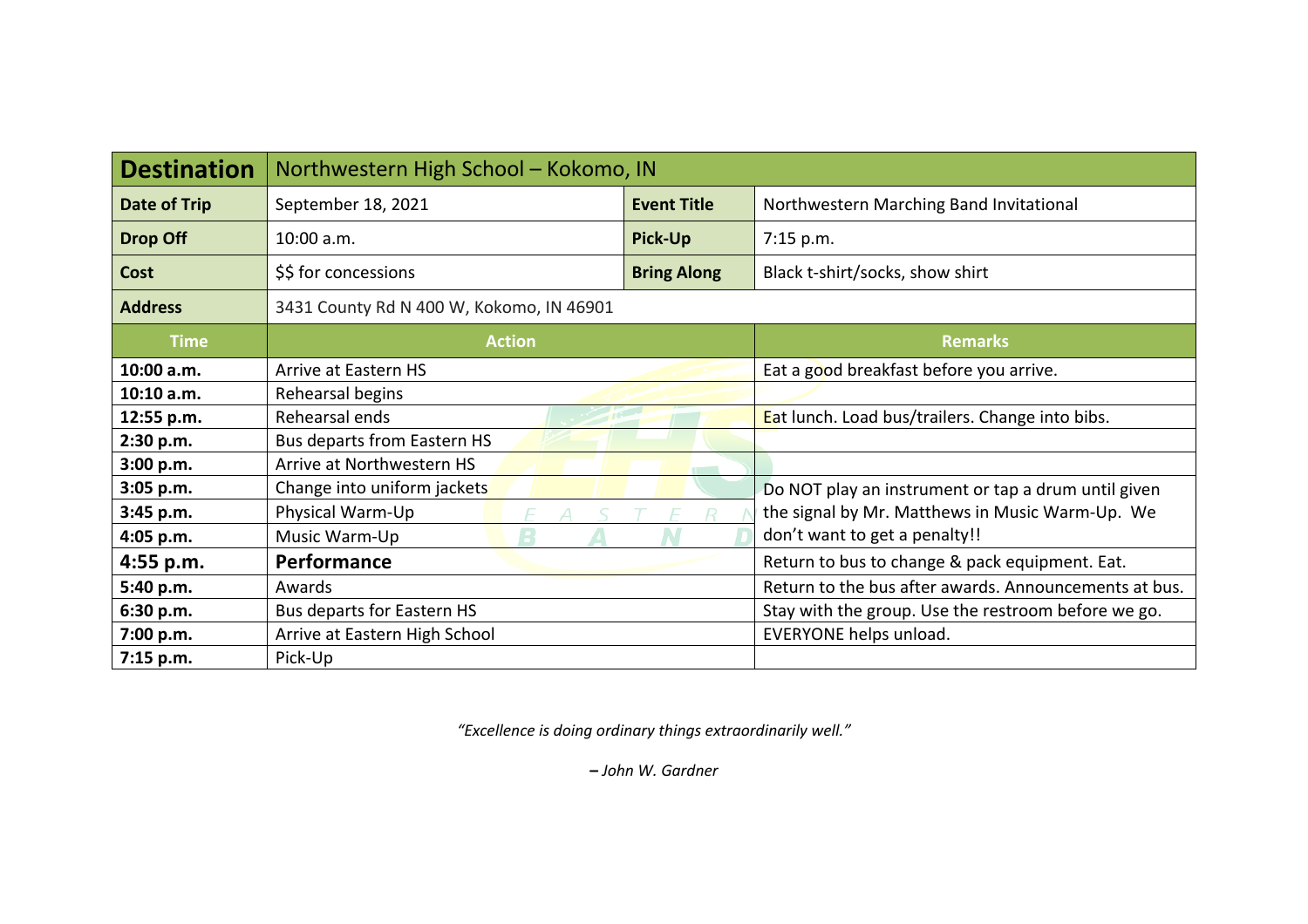| <b>Destination</b> | Northwestern High School - Kokomo, IN    |                    |                                                       |  |  |  |  |  |  |
|--------------------|------------------------------------------|--------------------|-------------------------------------------------------|--|--|--|--|--|--|
| Date of Trip       | September 18, 2021                       | <b>Event Title</b> | Northwestern Marching Band Invitational               |  |  |  |  |  |  |
| <b>Drop Off</b>    | 10:00 a.m.                               | <b>Pick-Up</b>     | 7:15 p.m.                                             |  |  |  |  |  |  |
| Cost               | \$\$ for concessions                     | <b>Bring Along</b> | Black t-shirt/socks, show shirt                       |  |  |  |  |  |  |
| <b>Address</b>     | 3431 County Rd N 400 W, Kokomo, IN 46901 |                    |                                                       |  |  |  |  |  |  |
| <b>Time</b>        | <b>Action</b>                            |                    | <b>Remarks</b>                                        |  |  |  |  |  |  |
| 10:00 a.m.         | Arrive at Eastern HS                     |                    | Eat a good breakfast before you arrive.               |  |  |  |  |  |  |
| 10:10 a.m.         | Rehearsal begins                         |                    |                                                       |  |  |  |  |  |  |
| 12:55 p.m.         | Rehearsal ends                           |                    | Eat lunch. Load bus/trailers. Change into bibs.       |  |  |  |  |  |  |
| 2:30 p.m.          | Bus departs from Eastern HS              |                    |                                                       |  |  |  |  |  |  |
| 3:00 p.m.          | Arrive at Northwestern HS                |                    |                                                       |  |  |  |  |  |  |
| 3:05 p.m.          | Change into uniform jackets              |                    | Do NOT play an instrument or tap a drum until given   |  |  |  |  |  |  |
| 3:45 p.m.          | Physical Warm-Up                         |                    | the signal by Mr. Matthews in Music Warm-Up. We       |  |  |  |  |  |  |
| 4:05 p.m.          | Music Warm-Up                            |                    | don't want to get a penalty!!                         |  |  |  |  |  |  |
| $4:55$ p.m.        | Performance                              |                    | Return to bus to change & pack equipment. Eat.        |  |  |  |  |  |  |
| 5:40 p.m.          | Awards                                   |                    | Return to the bus after awards. Announcements at bus. |  |  |  |  |  |  |
| 6:30 p.m.          | Bus departs for Eastern HS               |                    | Stay with the group. Use the restroom before we go.   |  |  |  |  |  |  |
| 7:00 p.m.          | Arrive at Eastern High School            |                    | EVERYONE helps unload.                                |  |  |  |  |  |  |
| 7:15 p.m.          | Pick-Up                                  |                    |                                                       |  |  |  |  |  |  |

*"Excellence is doing ordinary things extraordinarily well."*

**–** *John W. Gardner*